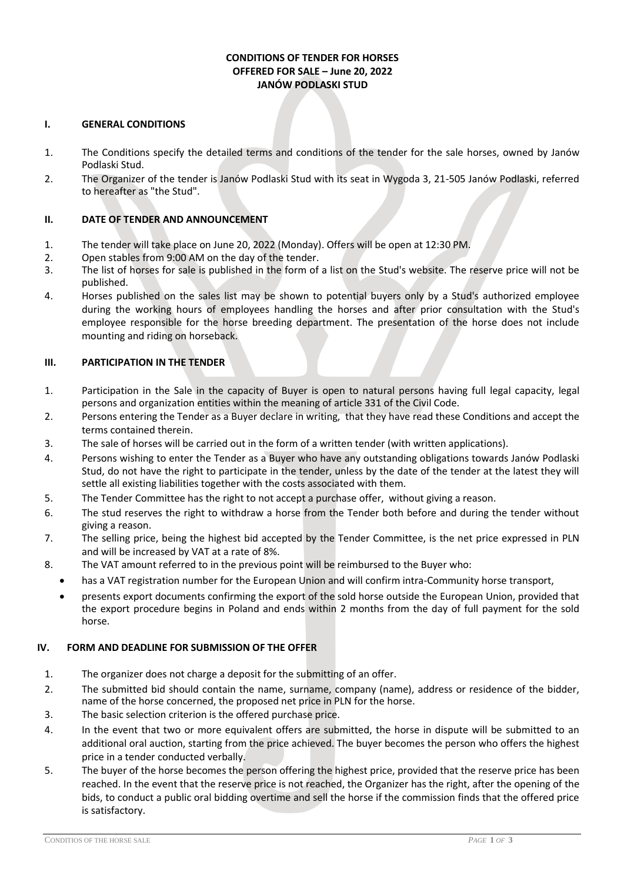# **CONDITIONS OF TENDER FOR HORSES OFFERED FOR SALE – June 20, 2022 JANÓW PODLASKI STUD**

#### **I. GENERAL CONDITIONS**

- 1. The Conditions specify the detailed terms and conditions of the tender for the sale horses, owned by Janów Podlaski Stud.
- 2. The Organizer of the tender is Janów Podlaski Stud with its seat in Wygoda 3, 21-505 Janów Podlaski, referred to hereafter as "the Stud".

### **II. DATE OF TENDER AND ANNOUNCEMENT**

- 1. The tender will take place on June 20, 2022 (Monday). Offers will be open at 12:30 PM.
- 2. Open stables from 9:00 AM on the day of the tender.
- 3. The list of horses for sale is published in the form of a list on the Stud's website. The reserve price will not be published.
- 4. Horses published on the sales list may be shown to potential buyers only by a Stud's authorized employee during the working hours of employees handling the horses and after prior consultation with the Stud's employee responsible for the horse breeding department. The presentation of the horse does not include mounting and riding on horseback.

#### **III. PARTICIPATION IN THE TENDER**

- 1. Participation in the Sale in the capacity of Buyer is open to natural persons having full legal capacity, legal persons and organization entities within the meaning of article 331 of the Civil Code.
- 2. Persons entering the Tender as a Buyer declare in writing, that they have read these Conditions and accept the terms contained therein.
- 3. The sale of horses will be carried out in the form of a written tender (with written applications).
- 4. Persons wishing to enter the Tender as a Buyer who have any outstanding obligations towards Janów Podlaski Stud, do not have the right to participate in the tender, unless by the date of the tender at the latest they will settle all existing liabilities together with the costs associated with them.
- 5. The Tender Committee has the right to not accept a purchase offer, without giving a reason.
- 6. The stud reserves the right to withdraw a horse from the Tender both before and during the tender without giving a reason.
- 7. The selling price, being the highest bid accepted by the Tender Committee, is the net price expressed in PLN and will be increased by VAT at a rate of 8%.
- 8. The VAT amount referred to in the previous point will be reimbursed to the Buyer who:
- has a VAT registration number for the European Union and will confirm intra-Community horse transport,
	- presents export documents confirming the export of the sold horse outside the European Union, provided that the export procedure begins in Poland and ends within 2 months from the day of full payment for the sold horse.

#### **IV. FORM AND DEADLINE FOR SUBMISSION OF THE OFFER**

- 1. The organizer does not charge a deposit for the submitting of an offer.
- 2. The submitted bid should contain the name, surname, company (name), address or residence of the bidder, name of the horse concerned, the proposed net price in PLN for the horse.
- 3. The basic selection criterion is the offered purchase price.
- 4. In the event that two or more equivalent offers are submitted, the horse in dispute will be submitted to an additional oral auction, starting from the price achieved. The buyer becomes the person who offers the highest price in a tender conducted verbally.
- 5. The buyer of the horse becomes the person offering the highest price, provided that the reserve price has been reached. In the event that the reserve price is not reached, the Organizer has the right, after the opening of the bids, to conduct a public oral bidding overtime and sell the horse if the commission finds that the offered price is satisfactory.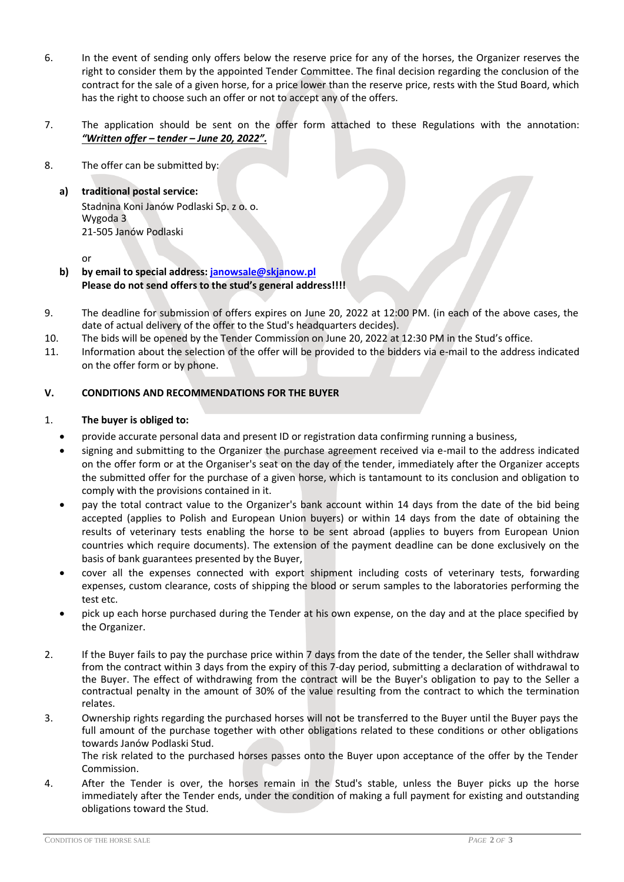- 6. In the event of sending only offers below the reserve price for any of the horses, the Organizer reserves the right to consider them by the appointed Tender Committee. The final decision regarding the conclusion of the contract for the sale of a given horse, for a price lower than the reserve price, rests with the Stud Board, which has the right to choose such an offer or not to accept any of the offers.
- 7. The application should be sent on the offer form attached to these Regulations with the annotation: *"Written offer – tender – June 20, 2022".*
- 8. The offer can be submitted by:
	- **a) traditional postal service:** Stadnina Koni Janów Podlaski Sp. z o. o. Wygoda 3 21-505 Janów Podlaski

or

- **b) by email to special address[: janowsale@skjanow.pl](mailto:janowsale@skjanow.pl) Please do not send offers to the stud's general address!!!!**
- 9. The deadline for submission of offers expires on June 20, 2022 at 12:00 PM. (in each of the above cases, the date of actual delivery of the offer to the Stud's headquarters decides).
- 10. The bids will be opened by the Tender Commission on June 20, 2022 at 12:30 PM in the Stud's office.
- 11. Information about the selection of the offer will be provided to the bidders via e-mail to the address indicated on the offer form or by phone.

## **V. CONDITIONS AND RECOMMENDATIONS FOR THE BUYER**

#### 1. **The buyer is obliged to:**

- provide accurate personal data and present ID or registration data confirming running a business,
- signing and submitting to the Organizer the purchase agreement received via e-mail to the address indicated on the offer form or at the Organiser's seat on the day of the tender, immediately after the Organizer accepts the submitted offer for the purchase of a given horse, which is tantamount to its conclusion and obligation to comply with the provisions contained in it.
- pay the total contract value to the Organizer's bank account within 14 days from the date of the bid being accepted (applies to Polish and European Union buyers) or within 14 days from the date of obtaining the results of veterinary tests enabling the horse to be sent abroad (applies to buyers from European Union countries which require documents). The extension of the payment deadline can be done exclusively on the basis of bank guarantees presented by the Buyer,
- cover all the expenses connected with export shipment including costs of veterinary tests, forwarding expenses, custom clearance, costs of shipping the blood or serum samples to the laboratories performing the test etc.
- pick up each horse purchased during the Tender at his own expense, on the day and at the place specified by the Organizer.
- 2. If the Buyer fails to pay the purchase price within 7 days from the date of the tender, the Seller shall withdraw from the contract within 3 days from the expiry of this 7-day period, submitting a declaration of withdrawal to the Buyer. The effect of withdrawing from the contract will be the Buyer's obligation to pay to the Seller a contractual penalty in the amount of 30% of the value resulting from the contract to which the termination relates.
- 3. Ownership rights regarding the purchased horses will not be transferred to the Buyer until the Buyer pays the full amount of the purchase together with other obligations related to these conditions or other obligations towards Janów Podlaski Stud.

The risk related to the purchased horses passes onto the Buyer upon acceptance of the offer by the Tender Commission.

4. After the Tender is over, the horses remain in the Stud's stable, unless the Buyer picks up the horse immediately after the Tender ends, under the condition of making a full payment for existing and outstanding obligations toward the Stud.